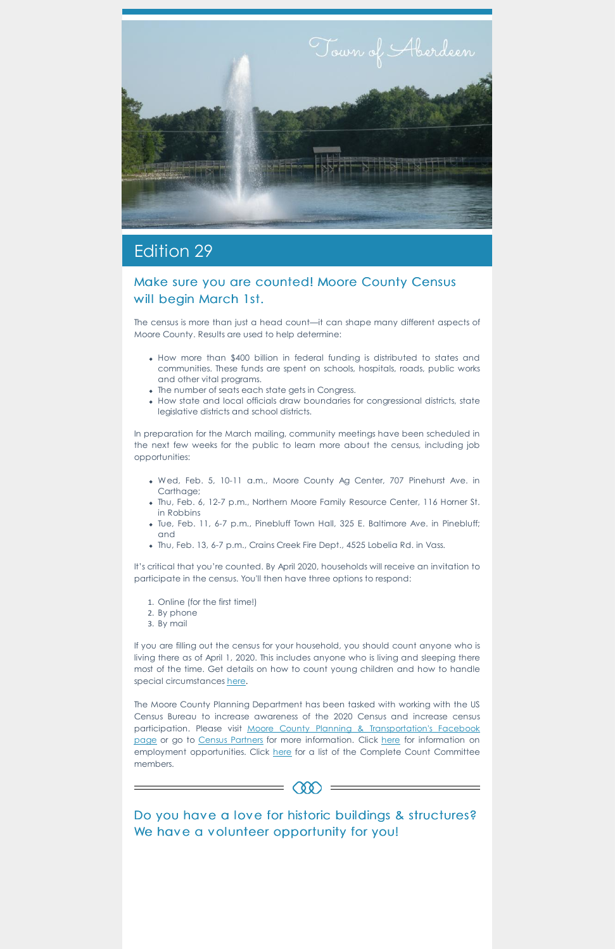

## Edition 29

## Make sure you are counted! Moore County Census will begin March 1st.

The census is more than just a head count—it can shape many different aspects of Moore County. Results are used to help determine:

- How more than \$400 billion in federal funding is distributed to states and communities. These funds are spent on schools, hospitals, roads, public works and other vital programs.
- The number of seats each state gets in Congress.
- How state and local officials draw boundaries for congressional districts, state legislative districts and school districts.

If you are filling out the census for your household, you should count anyone who is living there as of April 1, 2020. This includes anyone who is living and sleeping there most of the time. Get details on how to count young children and how to handle special circumstances [here](https://2020census.gov/en/who-to-count.html).

In preparation for the March mailing, community meetings have been scheduled in the next few weeks for the public to learn more about the census, including job opportunities:

- Wed, Feb. 5, 10-11 a.m., Moore County Ag Center, 707 Pinehurst Ave. in Carthage;
- Thu, Feb. 6, 12-7 p.m., Northern Moore Family Resource Center, 116 Horner St. in Robbins
- Tue, Feb. 11, 6-7 p.m., Pinebluff Town Hall, 325 E. Baltimore Ave. in Pinebluff; and
- Thu, Feb. 13, 6-7 p.m., Crains Creek Fire Dept., 4525 Lobelia Rd. in Vass.

Do you have a love for historic buildings & structures? We have a volunteer opportunity for you!

 $= 000 =$ 

It's critical that you're counted. By April 2020, households will receive an invitation to participate in the census. You'll then have three options to respond:

- 1. Online (for the first time!)
- 2. By phone
- 3. By mail

The Moore County Planning Department has been tasked with working with the US Census Bureau to increase awareness of the 2020 Census and increase census participation. Please visit Moore County Planning & [Transportation's](https://www.facebook.com/moorecountyplanningandtransportation/) Facebook page or go to Census [Partners](https://www.census.gov/partners.html) for more information. Click [here](https://www.moorecountync.gov/images/departments/planning-transportation/2020 Census/Job_Ad_Flyer.jpg) for information on employment opportunities. Click [here](https://www.moorecountync.gov/images/departments/planning-transportation/2020 Census/CCC List.pdf) for a list of the Complete Count Committee members.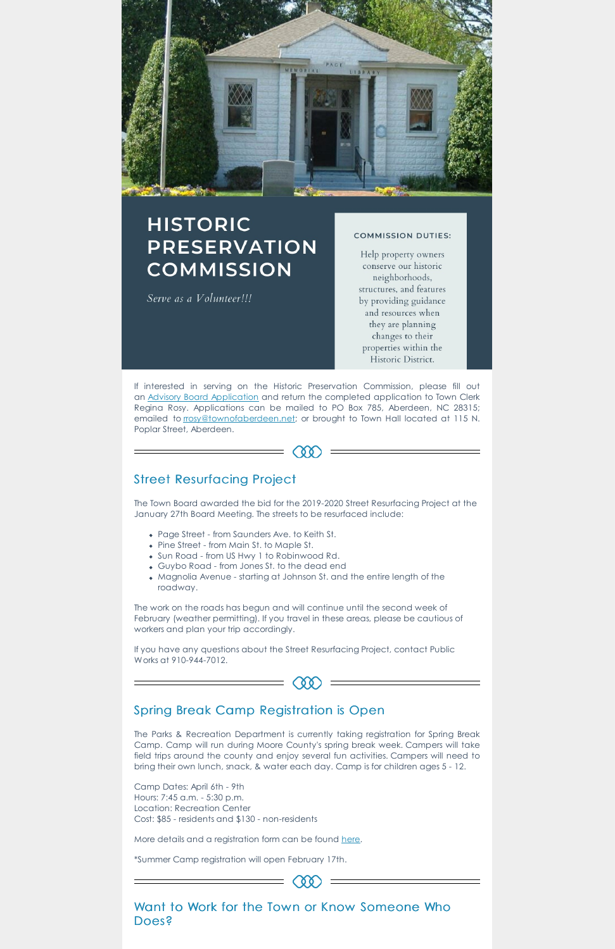

# **HISTORIC PRESERVATION COMMISSION**

Serve as a Volunteer!!!

#### **COMMISSION DUTIES:**

Help property owners conserve our historic neighborhoods, structures, and features by providing guidance and resources when they are planning changes to their properties within the Historic District.

If interested in serving on the Historic Preservation Commission, please fill out an Advisory Board [Application](https://www.townofaberdeen.net/files/documents/document135023702092816.pdf) and return the completed application to Town Clerk Regina Rosy. Applications can be mailed to PO Box 785, Aberdeen, NC 28315; emailed to [rrosy@townofaberdeen.net](mailto:rrosy@townofaberdeen.net); or brought to Town Hall located at 115 N. Poplar Street, Aberdeen.



## Street Resurfacing Project

The Town Board awarded the bid for the 2019-2020 Street Resurfacing Project at the January 27th Board Meeting. The streets to be resurfaced include:

- Page Street from Saunders Ave. to Keith St.
- Pine Street from Main St. to Maple St.
- Sun Road from US Hwy 1 to Robinwood Rd.
- Guybo Road from Jones St. to the dead end
- Magnolia Avenue starting at Johnson St. and the entire length of the roadway.

The work on the roads has begun and will continue until the second week of February (weather permitting). If you travel in these areas, please be cautious of workers and plan your trip accordingly.

If you have any questions about the Street Resurfacing Project, contact Public Works at 910-944-7012.



### Spring Break Camp Registration is Open

The Parks & Recreation Department is currently taking registration for Spring Break Camp. Camp will run during Moore County's spring break week. Campers will take field trips around the county and enjoy several fun activities. Campers will need to bring their own lunch, snack, & water each day. Camp is for children ages 5 - 12.

Camp Dates: April 6th - 9th Hours: 7:45 a.m. - 5:30 p.m. Location: Recreation Center Cost: \$85 - residents and \$130 - non-residents

More details and a registration form can be found [here](https://www.townofaberdeen.net/pview.aspx?id=2122&catID=0).

\*Summer Camp registration will open February 17th.

Want to Work for the Town or Know Someone Who Does?

 $(00)$  =